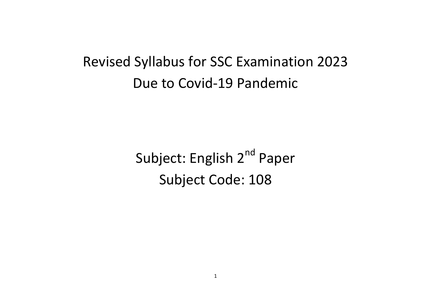# Revised Syllabus for SSC Examination 2023 Due to Covid-19 Pandemic

Subject: English 2<sup>nd</sup> Paper Subject Code: 108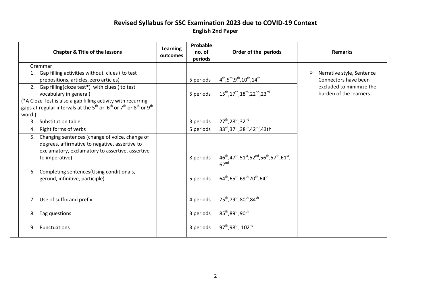#### **Revised Syllabus for SSC Examination 2023 due to COVID-19 Context English 2nd Paper**

|              | <b>Chapter &amp; Title of the lessons</b>                                                                                                                                                                                                                                 | Learning<br>outcomes | Probable<br>no. of<br>periods | Order of the periods                                                                                                                                     | <b>Remarks</b>                                      |
|--------------|---------------------------------------------------------------------------------------------------------------------------------------------------------------------------------------------------------------------------------------------------------------------------|----------------------|-------------------------------|----------------------------------------------------------------------------------------------------------------------------------------------------------|-----------------------------------------------------|
|              | Grammar                                                                                                                                                                                                                                                                   |                      |                               |                                                                                                                                                          |                                                     |
|              | Gap filling activities without clues (to test<br>prepositions, articles, zero articles)                                                                                                                                                                                   |                      | 5 periods                     | $4^{th}, 5^{th}, 9^{th}, 10^{th}, 14^{th}$                                                                                                               | Narrative style, Sentence<br>Connectors have been   |
|              | 2. Gap filling(cloze test*) with clues (to test<br>vocabulary in general)<br>(*A Cloze Test is also a gap filling activity with recurring<br>gaps at regular intervals at the 5 <sup>th</sup> or 6 <sup>th</sup> or 7 <sup>th</sup> or 8 <sup>th</sup> or 9 <sup>th</sup> |                      | 5 periods                     | 15 <sup>th</sup> , 17 <sup>th</sup> , 18 <sup>th</sup> , 22 <sup>nd</sup> , 23 <sup>rd</sup>                                                             | excluded to minimize the<br>burden of the learners. |
| word.)<br>3. | Substitution table                                                                                                                                                                                                                                                        |                      | 3 periods                     | $27^{th}$ , $28^{th}$ , $32^{nd}$                                                                                                                        |                                                     |
|              |                                                                                                                                                                                                                                                                           |                      |                               | 33rd, 37 <sup>th</sup> , 38 <sup>th</sup> , 42 <sup>nd</sup> , 43th                                                                                      |                                                     |
| 4.           | Right forms of verbs                                                                                                                                                                                                                                                      |                      | 5 periods                     |                                                                                                                                                          |                                                     |
| 5.           | Changing sentences (change of voice, change of<br>degrees, affirmative to negative, assertive to<br>exclamatory, exclamatory to assertive, assertive<br>to imperative)                                                                                                    |                      | 8 periods                     | $46^{\text{th}}$ , $47^{\text{th}}$ , $51^{\text{st}}$ , $52^{\text{nd}}$ , $56^{\text{th}}$ , $57^{\text{th}}$ , $61^{\text{st}}$ ,<br>62 <sup>nd</sup> |                                                     |
|              | 6. Completing sentences (Using conditionals,<br>gerund, infinitive, participle)                                                                                                                                                                                           |                      | 5 periods                     | $64^{\text{th}}$ ,65 <sup>th</sup> ,69 <sup>th,</sup> 70 <sup>th</sup> ,64 <sup>th</sup>                                                                 |                                                     |
|              | 7. Use of suffix and prefix                                                                                                                                                                                                                                               |                      | 4 periods                     | 75 <sup>th</sup> , 79 <sup>th</sup> , 80 <sup>th</sup> , 84 <sup>th</sup>                                                                                |                                                     |
|              | 8. Tag questions                                                                                                                                                                                                                                                          |                      | 3 periods                     | $85^{th}, 89^{th}, 90^{th}$                                                                                                                              |                                                     |
| 9.           | Punctuations                                                                                                                                                                                                                                                              |                      | 3 periods                     | 97 <sup>th</sup> , 98 <sup>th</sup> , 102 <sup>nd</sup>                                                                                                  |                                                     |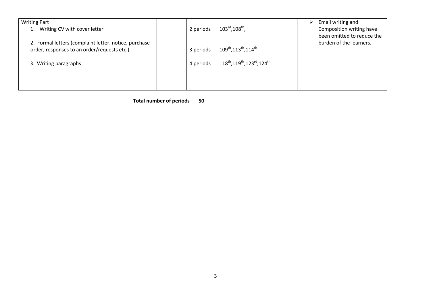| <b>Writing Part</b>                                   |           |                                                                               | Email writing and          |
|-------------------------------------------------------|-----------|-------------------------------------------------------------------------------|----------------------------|
| 1. Writing CV with cover letter                       | 2 periods | $103^{\text{rd}}$ , $108^{\text{th}}$ ,                                       | Composition writing have   |
|                                                       |           |                                                                               | been omitted to reduce the |
| 2. Formal letters (complaint letter, notice, purchase |           |                                                                               | burden of the learners.    |
| order, responses to an order/requests etc.)           | 3 periods | $109^{\text{th}}$ , $113^{\text{th}}$ , $114^{\text{th}}$                     |                            |
|                                                       |           |                                                                               |                            |
| 3. Writing paragraphs                                 | 4 periods | 118 <sup>th</sup> , 119 <sup>th</sup> , 123 <sup>rd</sup> , 124 <sup>th</sup> |                            |
|                                                       |           |                                                                               |                            |
|                                                       |           |                                                                               |                            |
|                                                       |           |                                                                               |                            |

 **Total number of periods 50**